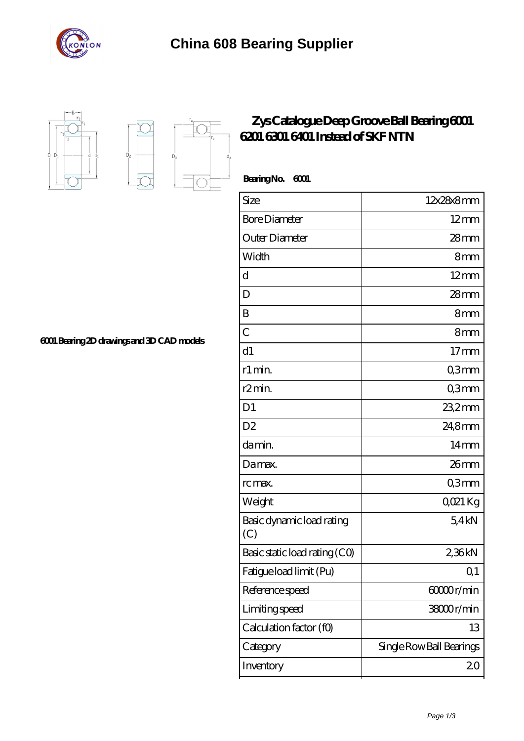



 $D_{a}$ 

 $\overrightarrow{D}$ 

τ

## **[Zys Catalogue Deep Groove Ball Bearing 6001](https://m.stavangerguiden.com/skf-6001-bearing/skf-6001.html) [6201 6301 6401 Instead of SKF NTN](https://m.stavangerguiden.com/skf-6001-bearing/skf-6001.html)**

| BearingNo.<br>6001               |                          |
|----------------------------------|--------------------------|
| Size                             | 12x28x8mm                |
| <b>Bore Diameter</b>             | $12 \text{mm}$           |
| Outer Diameter                   | $28$ mm                  |
| Width                            | 8mm                      |
| $\mathbf d$                      | $12 \text{mm}$           |
| D                                | $28$ mm                  |
| B                                | 8mm                      |
| $\overline{C}$                   | 8mm                      |
| d1                               | $17$ mm                  |
| r1 min.                          | Q3mm                     |
| r <sub>2</sub> min.              | Q3mm                     |
| D <sub>1</sub>                   | $232$ mm                 |
| D <sub>2</sub>                   | 24,8mm                   |
| damin.                           | $14 \text{mm}$           |
| Damax.                           | 26mm                     |
| rc max.                          | Q3mm                     |
| Weight                           | QO21 Kg                  |
| Basic dynamic load rating<br>(C) | 54kN                     |
| Basic static load rating (CO)    | 2,36kN                   |
| Fatigue load limit (Pu)          | Q1                       |
| Reference speed                  | 60000r/min               |
| Limiting speed                   | 38000r/min               |
| Calculation factor (f0)          | 13                       |
| Category                         | Single Row Ball Bearings |
| Inventory                        | 20                       |

**[6001 Bearing 2D drawings and 3D CAD models](https://m.stavangerguiden.com/pic-676733.html)**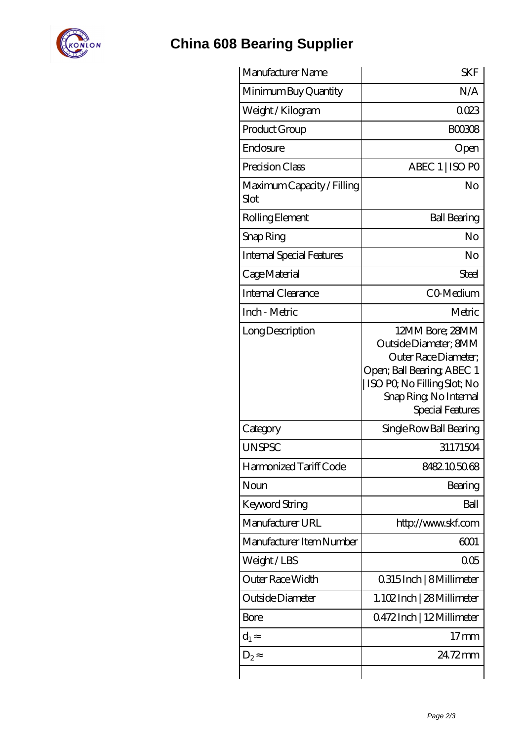

## **[China 608 Bearing Supplier](https://m.stavangerguiden.com)**

| Manufacturer Name                  | <b>SKF</b>                                                                                                                                                                  |
|------------------------------------|-----------------------------------------------------------------------------------------------------------------------------------------------------------------------------|
| Minimum Buy Quantity               | N/A                                                                                                                                                                         |
| Weight / Kilogram                  | 0023                                                                                                                                                                        |
| Product Group                      | <b>BOO308</b>                                                                                                                                                               |
| Enclosure                          | Open                                                                                                                                                                        |
| Precision Class                    | ABEC 1   ISO PO                                                                                                                                                             |
| Maximum Capacity / Filling<br>Slot | No                                                                                                                                                                          |
| Rolling Element                    | <b>Ball Bearing</b>                                                                                                                                                         |
| Snap Ring                          | No                                                                                                                                                                          |
| <b>Internal Special Features</b>   | No                                                                                                                                                                          |
| Cage Material                      | Steel                                                                                                                                                                       |
| Internal Clearance                 | CO-Medium                                                                                                                                                                   |
| Inch - Metric                      | Metric                                                                                                                                                                      |
| Long Description                   | 12MM Bore; 28MM<br>Outside Diameter; 8MM<br>Outer Race Diameter;<br>Open; Ball Bearing; ABEC 1<br>ISO PO, No Filling Slot; No<br>Snap Ring, No Internal<br>Special Features |
| Category                           | Single Row Ball Bearing                                                                                                                                                     |
| <b>UNSPSC</b>                      | 31171504                                                                                                                                                                    |
| Harmonized Tariff Code             | 8482105068                                                                                                                                                                  |
| Noun                               | Bearing                                                                                                                                                                     |
| Keyword String                     | Ball                                                                                                                                                                        |
| Manufacturer URL                   | http://www.skf.com                                                                                                                                                          |
| Manufacturer Item Number           | 6001                                                                                                                                                                        |
| Weight/LBS                         | 005                                                                                                                                                                         |
| Outer Race Width                   | 0.315 Inch   8 Millimeter                                                                                                                                                   |
| Outside Diameter                   | 1.102Inch   28 Millimeter                                                                                                                                                   |
| Bore                               | Q472Inch   12Millimeter                                                                                                                                                     |
| $d_1$                              | 17 <sub>mm</sub>                                                                                                                                                            |
| $D_2$                              | 24.72mm                                                                                                                                                                     |
|                                    |                                                                                                                                                                             |